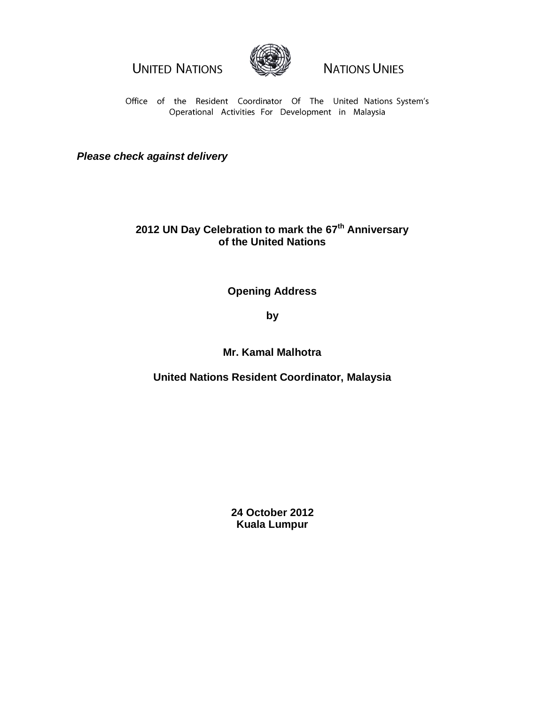**UNITED NATIONS** 



**NATIONS UNIES** 

Office of the Resident Coordinator Of The United Nations System's Operational Activities For Development in Malaysia

*Please check against delivery*

## **2012 UN Day Celebration to mark the 67 th Anniversary of the United Nations**

**Opening Address**

**by**

**Mr. Kamal Malhotra**

**United Nations Resident Coordinator, Malaysia**

**24 October 2012 Kuala Lumpur**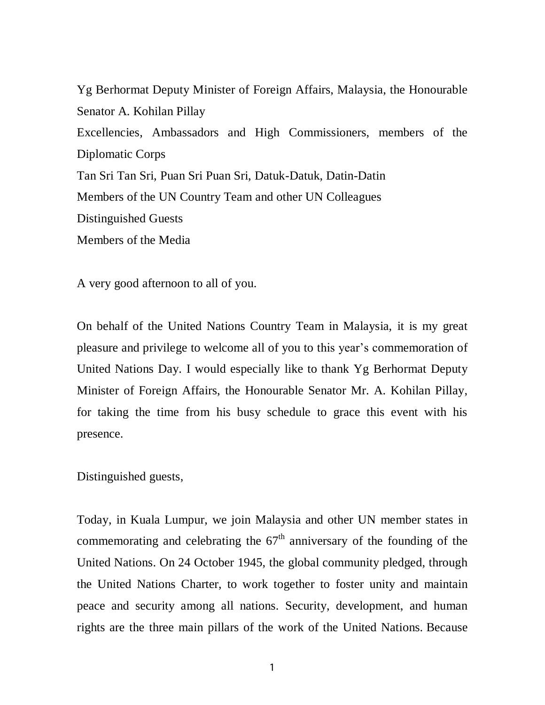Yg Berhormat Deputy Minister of Foreign Affairs, Malaysia, the Honourable Senator A. Kohilan Pillay Excellencies, Ambassadors and High Commissioners, members of the Diplomatic Corps Tan Sri Tan Sri, Puan Sri Puan Sri, Datuk-Datuk, Datin-Datin Members of the UN Country Team and other UN Colleagues Distinguished Guests Members of the Media

A very good afternoon to all of you.

On behalf of the United Nations Country Team in Malaysia, it is my great pleasure and privilege to welcome all of you to this year's commemoration of United Nations Day. I would especially like to thank Yg Berhormat Deputy Minister of Foreign Affairs, the Honourable Senator Mr. A. Kohilan Pillay, for taking the time from his busy schedule to grace this event with his presence.

Distinguished guests,

Today, in Kuala Lumpur, we join Malaysia and other UN member states in commemorating and celebrating the  $67<sup>th</sup>$  anniversary of the founding of the United Nations. On 24 October 1945, the global community pledged, through the United Nations Charter, to work together to foster unity and maintain peace and security among all nations. Security, development, and human rights are the three main pillars of the work of the United Nations. Because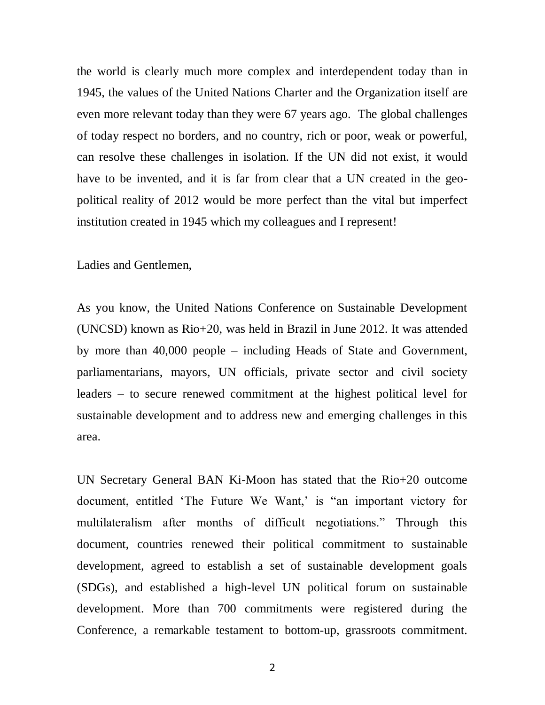the world is clearly much more complex and interdependent today than in 1945, the values of the United Nations Charter and the Organization itself are even more relevant today than they were 67 years ago. The global challenges of today respect no borders, and no country, rich or poor, weak or powerful, can resolve these challenges in isolation. If the UN did not exist, it would have to be invented, and it is far from clear that a UN created in the geopolitical reality of 2012 would be more perfect than the vital but imperfect institution created in 1945 which my colleagues and I represent!

Ladies and Gentlemen,

As you know, the United Nations Conference on Sustainable Development (UNCSD) known as Rio+20, was held in Brazil in June 2012. It was attended by more than 40,000 people – including Heads of State and Government, parliamentarians, mayors, UN officials, private sector and civil society leaders – to secure renewed commitment at the highest political level for sustainable development and to address new and emerging challenges in this area.

UN Secretary General BAN Ki-Moon has stated that the Rio+20 outcome document, entitled 'The Future We Want,' is "an important victory for multilateralism after months of difficult negotiations." Through this document, countries renewed their political commitment to sustainable development, agreed to establish a set of sustainable development goals (SDGs), and established a high-level UN political forum on sustainable development. More than 700 commitments were registered during the Conference, a remarkable testament to bottom-up, grassroots commitment.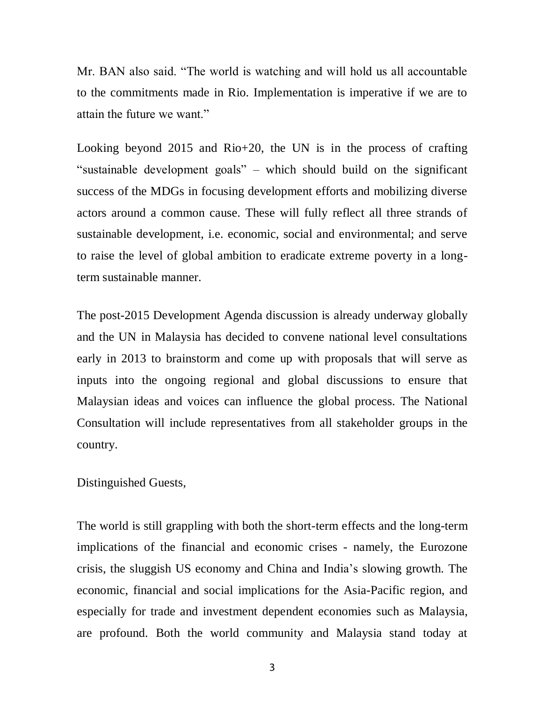Mr. BAN also said. "The world is watching and will hold us all accountable to the commitments made in Rio. Implementation is imperative if we are to attain the future we want."

Looking beyond 2015 and Rio+20, the UN is in the process of crafting "sustainable development goals" – which should build on the significant success of the MDGs in focusing development efforts and mobilizing diverse actors around a common cause. These will fully reflect all three strands of sustainable development, i.e. economic, social and environmental; and serve to raise the level of global ambition to eradicate extreme poverty in a longterm sustainable manner.

The post-2015 Development Agenda discussion is already underway globally and the UN in Malaysia has decided to convene national level consultations early in 2013 to brainstorm and come up with proposals that will serve as inputs into the ongoing regional and global discussions to ensure that Malaysian ideas and voices can influence the global process. The National Consultation will include representatives from all stakeholder groups in the country.

## Distinguished Guests,

The world is still grappling with both the short-term effects and the long-term implications of the financial and economic crises - namely, the Eurozone crisis, the sluggish US economy and China and India's slowing growth. The economic, financial and social implications for the Asia-Pacific region, and especially for trade and investment dependent economies such as Malaysia, are profound. Both the world community and Malaysia stand today at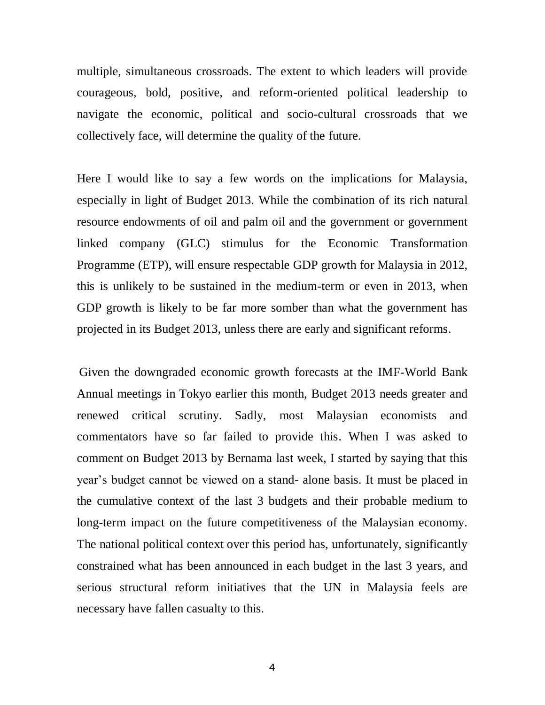multiple, simultaneous crossroads. The extent to which leaders will provide courageous, bold, positive, and reform-oriented political leadership to navigate the economic, political and socio-cultural crossroads that we collectively face, will determine the quality of the future.

Here I would like to say a few words on the implications for Malaysia, especially in light of Budget 2013. While the combination of its rich natural resource endowments of oil and palm oil and the government or government linked company (GLC) stimulus for the Economic Transformation Programme (ETP), will ensure respectable GDP growth for Malaysia in 2012, this is unlikely to be sustained in the medium-term or even in 2013, when GDP growth is likely to be far more somber than what the government has projected in its Budget 2013, unless there are early and significant reforms.

Given the downgraded economic growth forecasts at the IMF-World Bank Annual meetings in Tokyo earlier this month, Budget 2013 needs greater and renewed critical scrutiny. Sadly, most Malaysian economists and commentators have so far failed to provide this. When I was asked to comment on Budget 2013 by Bernama last week, I started by saying that this year's budget cannot be viewed on a stand- alone basis. It must be placed in the cumulative context of the last 3 budgets and their probable medium to long-term impact on the future competitiveness of the Malaysian economy. The national political context over this period has, unfortunately, significantly constrained what has been announced in each budget in the last 3 years, and serious structural reform initiatives that the UN in Malaysia feels are necessary have fallen casualty to this.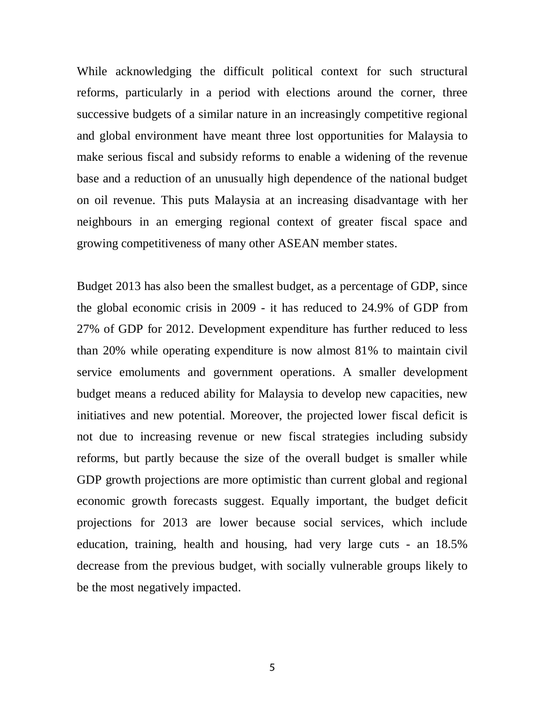While acknowledging the difficult political context for such structural reforms, particularly in a period with elections around the corner, three successive budgets of a similar nature in an increasingly competitive regional and global environment have meant three lost opportunities for Malaysia to make serious fiscal and subsidy reforms to enable a widening of the revenue base and a reduction of an unusually high dependence of the national budget on oil revenue. This puts Malaysia at an increasing disadvantage with her neighbours in an emerging regional context of greater fiscal space and growing competitiveness of many other ASEAN member states.

Budget 2013 has also been the smallest budget, as a percentage of GDP, since the global economic crisis in 2009 - it has reduced to 24.9% of GDP from 27% of GDP for 2012. Development expenditure has further reduced to less than 20% while operating expenditure is now almost 81% to maintain civil service emoluments and government operations. A smaller development budget means a reduced ability for Malaysia to develop new capacities, new initiatives and new potential. Moreover, the projected lower fiscal deficit is not due to increasing revenue or new fiscal strategies including subsidy reforms, but partly because the size of the overall budget is smaller while GDP growth projections are more optimistic than current global and regional economic growth forecasts suggest. Equally important, the budget deficit projections for 2013 are lower because social services, which include education, training, health and housing, had very large cuts - an 18.5% decrease from the previous budget, with socially vulnerable groups likely to be the most negatively impacted.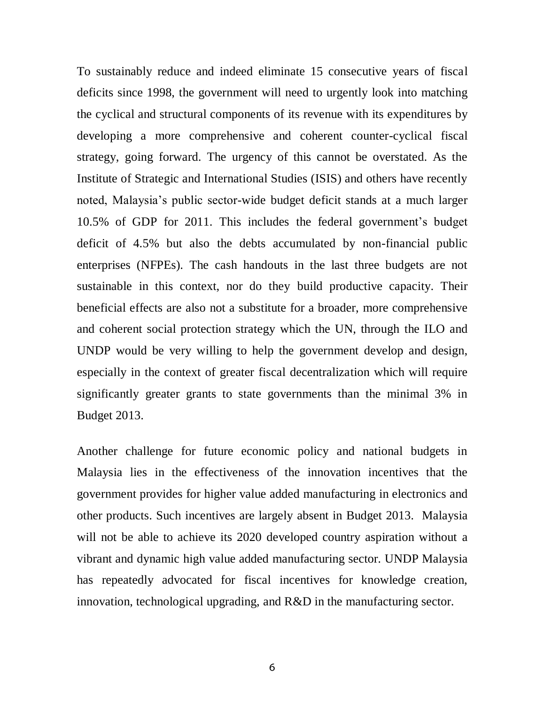To sustainably reduce and indeed eliminate 15 consecutive years of fiscal deficits since 1998, the government will need to urgently look into matching the cyclical and structural components of its revenue with its expenditures by developing a more comprehensive and coherent counter-cyclical fiscal strategy, going forward. The urgency of this cannot be overstated. As the Institute of Strategic and International Studies (ISIS) and others have recently noted, Malaysia's public sector-wide budget deficit stands at a much larger 10.5% of GDP for 2011. This includes the federal government's budget deficit of 4.5% but also the debts accumulated by non-financial public enterprises (NFPEs). The cash handouts in the last three budgets are not sustainable in this context, nor do they build productive capacity. Their beneficial effects are also not a substitute for a broader, more comprehensive and coherent social protection strategy which the UN, through the ILO and UNDP would be very willing to help the government develop and design, especially in the context of greater fiscal decentralization which will require significantly greater grants to state governments than the minimal 3% in Budget 2013.

Another challenge for future economic policy and national budgets in Malaysia lies in the effectiveness of the innovation incentives that the government provides for higher value added manufacturing in electronics and other products. Such incentives are largely absent in Budget 2013. Malaysia will not be able to achieve its 2020 developed country aspiration without a vibrant and dynamic high value added manufacturing sector. UNDP Malaysia has repeatedly advocated for fiscal incentives for knowledge creation, innovation, technological upgrading, and R&D in the manufacturing sector.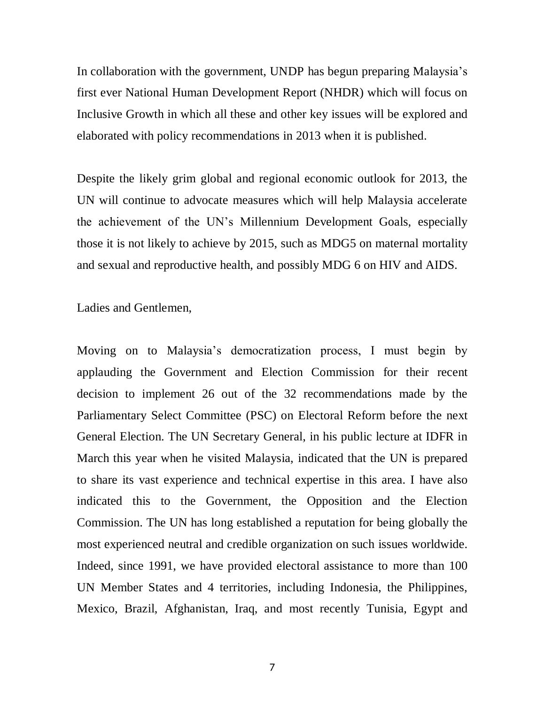In collaboration with the government, UNDP has begun preparing Malaysia's first ever National Human Development Report (NHDR) which will focus on Inclusive Growth in which all these and other key issues will be explored and elaborated with policy recommendations in 2013 when it is published.

Despite the likely grim global and regional economic outlook for 2013, the UN will continue to advocate measures which will help Malaysia accelerate the achievement of the UN's Millennium Development Goals, especially those it is not likely to achieve by 2015, such as MDG5 on maternal mortality and sexual and reproductive health, and possibly MDG 6 on HIV and AIDS.

Ladies and Gentlemen,

Moving on to Malaysia's democratization process, I must begin by applauding the Government and Election Commission for their recent decision to implement 26 out of the 32 recommendations made by the Parliamentary Select Committee (PSC) on Electoral Reform before the next General Election. The UN Secretary General, in his public lecture at IDFR in March this year when he visited Malaysia, indicated that the UN is prepared to share its vast experience and technical expertise in this area. I have also indicated this to the Government, the Opposition and the Election Commission. The UN has long established a reputation for being globally the most experienced neutral and credible organization on such issues worldwide. Indeed, since 1991, we have provided electoral assistance to more than 100 UN Member States and 4 territories, including Indonesia, the Philippines, Mexico, Brazil, Afghanistan, Iraq, and most recently Tunisia, Egypt and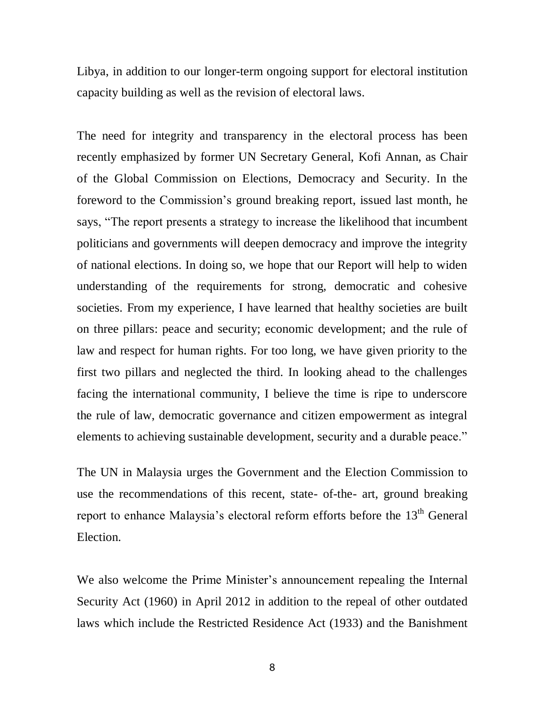Libya, in addition to our longer-term ongoing support for electoral institution capacity building as well as the revision of electoral laws.

The need for integrity and transparency in the electoral process has been recently emphasized by former UN Secretary General, Kofi Annan, as Chair of the Global Commission on Elections, Democracy and Security. In the foreword to the Commission's ground breaking report, issued last month, he says, "The report presents a strategy to increase the likelihood that incumbent politicians and governments will deepen democracy and improve the integrity of national elections. In doing so, we hope that our Report will help to widen understanding of the requirements for strong, democratic and cohesive societies. From my experience, I have learned that healthy societies are built on three pillars: peace and security; economic development; and the rule of law and respect for human rights. For too long, we have given priority to the first two pillars and neglected the third. In looking ahead to the challenges facing the international community, I believe the time is ripe to underscore the rule of law, democratic governance and citizen empowerment as integral elements to achieving sustainable development, security and a durable peace."

The UN in Malaysia urges the Government and the Election Commission to use the recommendations of this recent, state- of-the- art, ground breaking report to enhance Malaysia's electoral reform efforts before the 13<sup>th</sup> General Election.

We also welcome the Prime Minister's announcement repealing the Internal Security Act (1960) in April 2012 in addition to the repeal of other outdated laws which include the Restricted Residence Act (1933) and the Banishment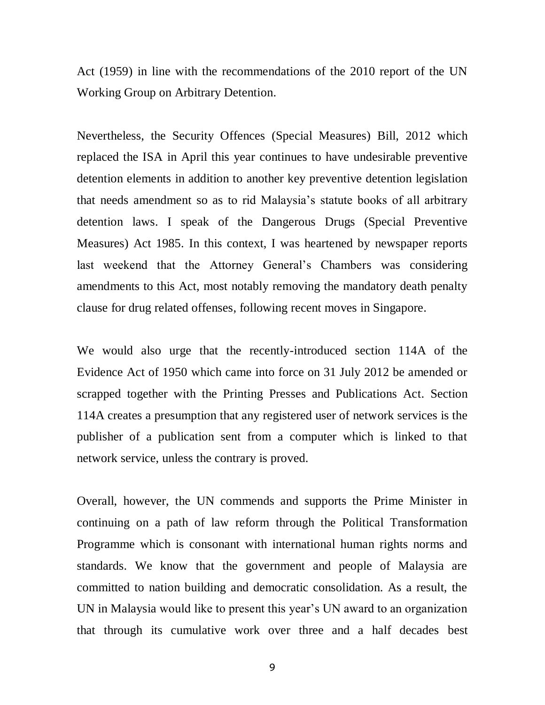Act (1959) in line with the recommendations of the 2010 report of the UN Working Group on Arbitrary Detention.

Nevertheless, the Security Offences (Special Measures) Bill, 2012 which replaced the ISA in April this year continues to have undesirable preventive detention elements in addition to another key preventive detention legislation that needs amendment so as to rid Malaysia's statute books of all arbitrary detention laws. I speak of the Dangerous Drugs (Special Preventive Measures) Act 1985. In this context, I was heartened by newspaper reports last weekend that the Attorney General's Chambers was considering amendments to this Act, most notably removing the mandatory death penalty clause for drug related offenses, following recent moves in Singapore.

We would also urge that the recently-introduced section 114A of the Evidence Act of 1950 which came into force on 31 July 2012 be amended or scrapped together with the Printing Presses and Publications Act. Section 114A creates a presumption that any registered user of network services is the publisher of a publication sent from a computer which is linked to that network service, unless the contrary is proved.

Overall, however, the UN commends and supports the Prime Minister in continuing on a path of law reform through the Political Transformation Programme which is consonant with international human rights norms and standards. We know that the government and people of Malaysia are committed to nation building and democratic consolidation. As a result, the UN in Malaysia would like to present this year's UN award to an organization that through its cumulative work over three and a half decades best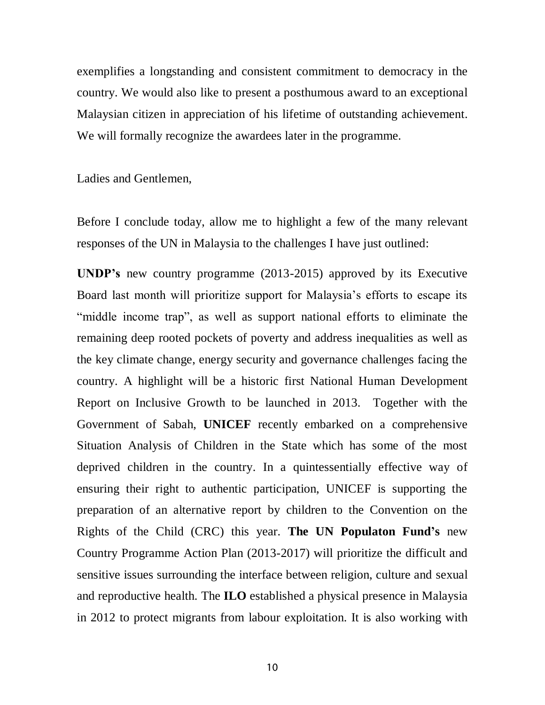exemplifies a longstanding and consistent commitment to democracy in the country. We would also like to present a posthumous award to an exceptional Malaysian citizen in appreciation of his lifetime of outstanding achievement. We will formally recognize the awardees later in the programme.

Ladies and Gentlemen,

Before I conclude today, allow me to highlight a few of the many relevant responses of the UN in Malaysia to the challenges I have just outlined:

**UNDP's** new country programme (2013-2015) approved by its Executive Board last month will prioritize support for Malaysia's efforts to escape its "middle income trap", as well as support national efforts to eliminate the remaining deep rooted pockets of poverty and address inequalities as well as the key climate change, energy security and governance challenges facing the country. A highlight will be a historic first National Human Development Report on Inclusive Growth to be launched in 2013. Together with the Government of Sabah, **UNICEF** recently embarked on a comprehensive Situation Analysis of Children in the State which has some of the most deprived children in the country. In a quintessentially effective way of ensuring their right to authentic participation, UNICEF is supporting the preparation of an alternative report by children to the Convention on the Rights of the Child (CRC) this year. **The UN Populaton Fund's** new Country Programme Action Plan (2013-2017) will prioritize the difficult and sensitive issues surrounding the interface between religion, culture and sexual and reproductive health. The **ILO** established a physical presence in Malaysia in 2012 to protect migrants from labour exploitation. It is also working with